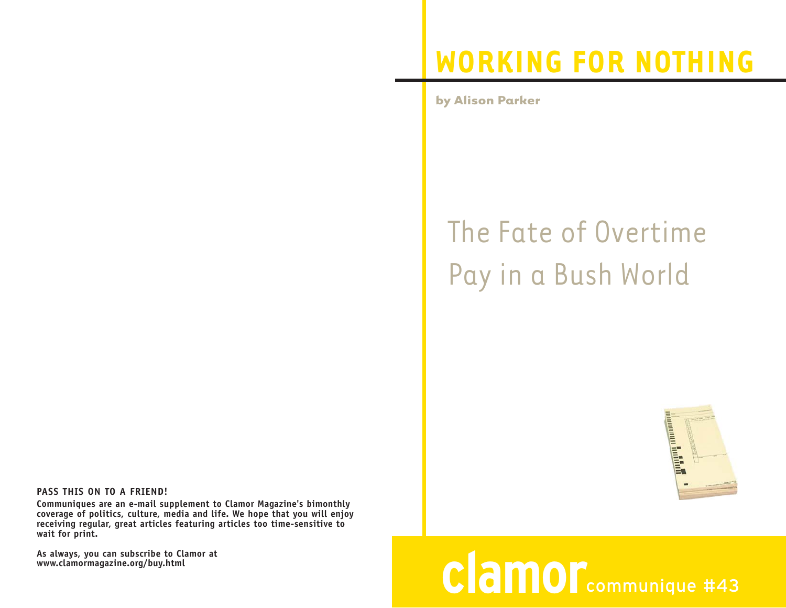## **WORKING FOR NOTHING**

**by Alison Parker**

## The Fate of Overtime Pay in a Bush World



## **clamor**communique #43

**PASS THIS ON TO A FRIEND!**

**Communiques are an e-mail supplement to Clamor Magazine's bimonthly coverage of politics, culture, media and life. We hope that you will enjoy receiving regular, great articles featuring articles too time-sensitive to wait for print.** 

**As always, you can subscribe to Clamor at www.clamormagazine.org/buy.html**